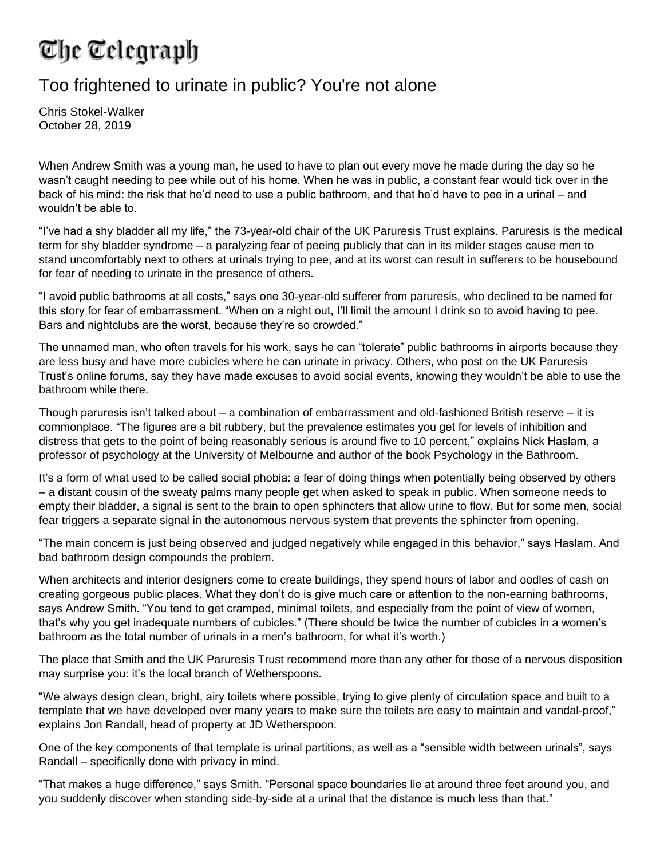## The Telegraph

## Too frightened to urinate in public? You're not alone

Chris Stokel-Walker October 28, 2019

When Andrew Smith was a young man, he used to have to plan out every move he made during the day so he wasn't caught needing to pee while out of his home. When he was in public, a constant fear would tick over in the back of his mind: the risk that he'd need to use a public bathroom, and that he'd have to pee in a urinal – and wouldn't be able to.

"I've had a shy bladder all my life," the 73-year-old chair of the UK Paruresis Trust explains. Paruresis is the medical term for shy bladder syndrome – a paralyzing fear of peeing publicly that can in its milder stages cause men to stand uncomfortably next to others at urinals trying to pee, and at its worst can result in sufferers to be housebound for fear of needing to urinate in the presence of others.

"I avoid public bathrooms at all costs," says one 30-year-old sufferer from paruresis, who declined to be named for this story for fear of embarrassment. "When on a night out, I'll limit the amount I drink so to avoid having to pee. Bars and nightclubs are the worst, because they're so crowded."

The unnamed man, who often travels for his work, says he can "tolerate" public bathrooms in airports because they are less busy and have more cubicles where he can urinate in privacy. Others, who post on the UK Paruresis Trust's online forums, say they have made excuses to avoid social events, knowing they wouldn't be able to use the bathroom while there.

Though paruresis isn't talked about – a combination of embarrassment and old-fashioned British reserve – it is commonplace. "The figures are a bit rubbery, but the prevalence estimates you get for levels of inhibition and distress that gets to the point of being reasonably serious is around five to 10 percent," explains Nick Haslam, a professor of psychology at the University of Melbourne and author of the book Psychology in the Bathroom.

It's a form of what used to be called social phobia: a fear of doing things when potentially being observed by others – a distant cousin of the sweaty palms many people get when asked to speak in public. When someone needs to empty their bladder, a signal is sent to the brain to open sphincters that allow urine to flow. But for some men, social fear triggers a separate signal in the autonomous nervous system that prevents the sphincter from opening.

"The main concern is just being observed and judged negatively while engaged in this behavior," says Haslam. And bad bathroom design compounds the problem.

When architects and interior designers come to create buildings, they spend hours of labor and oodles of cash on creating gorgeous public places. What they don't do is give much care or attention to the non-earning bathrooms, says Andrew Smith. "You tend to get cramped, minimal toilets, and especially from the point of view of women, that's why you get inadequate numbers of cubicles." (There should be twice the number of cubicles in a women's bathroom as the total number of urinals in a men's bathroom, for what it's worth.)

The place that Smith and the UK Paruresis Trust recommend more than any other for those of a nervous disposition may surprise you: it's the local branch of Wetherspoons.

"We always design clean, bright, airy toilets where possible, trying to give plenty of circulation space and built to a template that we have developed over many years to make sure the toilets are easy to maintain and vandal-proof," explains Jon Randall, head of property at JD Wetherspoon.

One of the key components of that template is urinal partitions, as well as a "sensible width between urinals", says Randall – specifically done with privacy in mind.

"That makes a huge difference," says Smith. "Personal space boundaries lie at around three feet around you, and you suddenly discover when standing side-by-side at a urinal that the distance is much less than that."